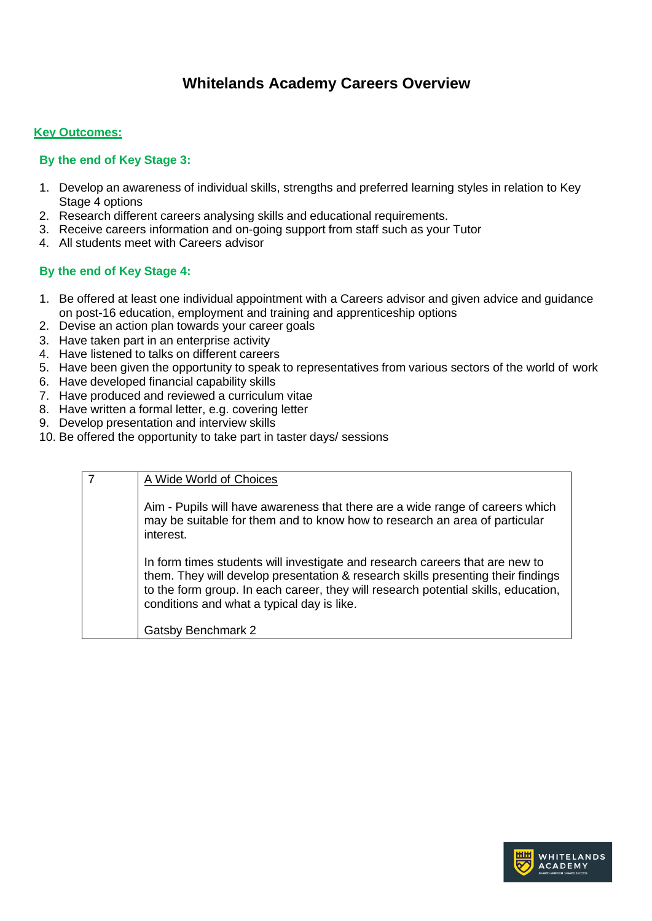# **Whitelands Academy Careers Overview**

#### **Key Outcomes:**

#### **By the end of Key Stage 3:**

- 1. Develop an awareness of individual skills, strengths and preferred learning styles in relation to Key Stage 4 options
- 2. Research different careers analysing skills and educational requirements.
- 3. Receive careers information and on-going support from staff such as your Tutor
- 4. All students meet with Careers advisor

### **By the end of Key Stage 4:**

- 1. Be offered at least one individual appointment with a Careers advisor and given advice and guidance on post-16 education, employment and training and apprenticeship options
- 2. Devise an action plan towards your career goals
- 3. Have taken part in an enterprise activity
- 4. Have listened to talks on different careers
- 5. Have been given the opportunity to speak to representatives from various sectors of the world of work
- 6. Have developed financial capability skills
- 7. Have produced and reviewed a curriculum vitae
- 8. Have written a formal letter, e.g. covering letter
- 9. Develop presentation and interview skills
- 10. Be offered the opportunity to take part in taster days/ sessions

| $\overline{7}$ | A Wide World of Choices                                                                                                                                                                                                                                                                              |
|----------------|------------------------------------------------------------------------------------------------------------------------------------------------------------------------------------------------------------------------------------------------------------------------------------------------------|
|                | Aim - Pupils will have awareness that there are a wide range of careers which<br>may be suitable for them and to know how to research an area of particular<br>interest.                                                                                                                             |
|                | In form times students will investigate and research careers that are new to<br>them. They will develop presentation & research skills presenting their findings<br>to the form group. In each career, they will research potential skills, education,<br>conditions and what a typical day is like. |
|                | Gatsby Benchmark 2                                                                                                                                                                                                                                                                                   |

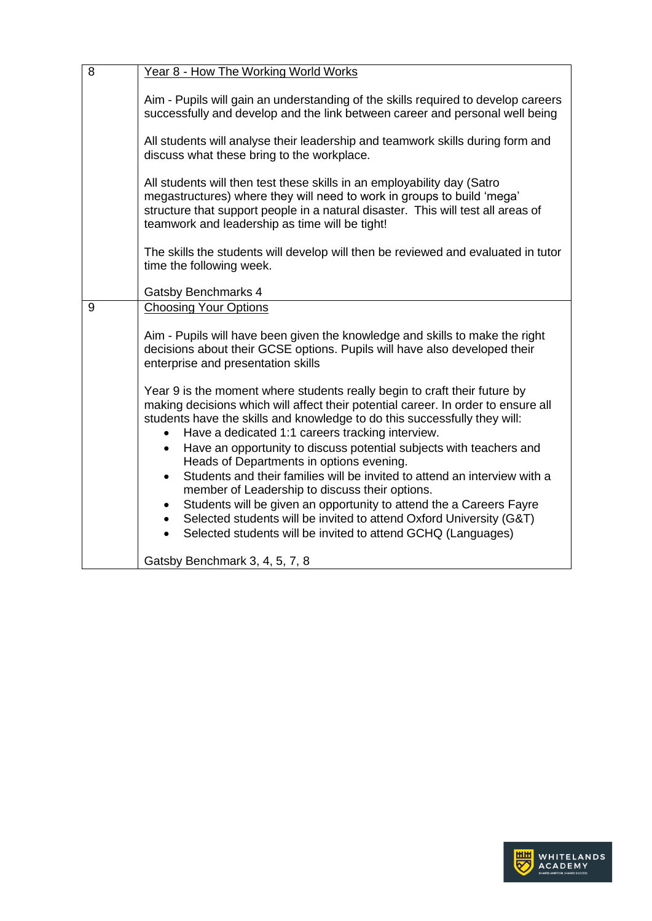| 8 | Year 8 - How The Working World Works                                                                                                                                                                                                                                                                                                                                                                                                                                                                                                                                                                                                                                                                                                                                                                                             |  |  |  |  |  |  |  |
|---|----------------------------------------------------------------------------------------------------------------------------------------------------------------------------------------------------------------------------------------------------------------------------------------------------------------------------------------------------------------------------------------------------------------------------------------------------------------------------------------------------------------------------------------------------------------------------------------------------------------------------------------------------------------------------------------------------------------------------------------------------------------------------------------------------------------------------------|--|--|--|--|--|--|--|
|   | Aim - Pupils will gain an understanding of the skills required to develop careers<br>successfully and develop and the link between career and personal well being                                                                                                                                                                                                                                                                                                                                                                                                                                                                                                                                                                                                                                                                |  |  |  |  |  |  |  |
|   | All students will analyse their leadership and teamwork skills during form and<br>discuss what these bring to the workplace.                                                                                                                                                                                                                                                                                                                                                                                                                                                                                                                                                                                                                                                                                                     |  |  |  |  |  |  |  |
|   | All students will then test these skills in an employability day (Satro<br>megastructures) where they will need to work in groups to build 'mega'<br>structure that support people in a natural disaster. This will test all areas of<br>teamwork and leadership as time will be tight!                                                                                                                                                                                                                                                                                                                                                                                                                                                                                                                                          |  |  |  |  |  |  |  |
|   | The skills the students will develop will then be reviewed and evaluated in tutor<br>time the following week.                                                                                                                                                                                                                                                                                                                                                                                                                                                                                                                                                                                                                                                                                                                    |  |  |  |  |  |  |  |
|   | Gatsby Benchmarks 4                                                                                                                                                                                                                                                                                                                                                                                                                                                                                                                                                                                                                                                                                                                                                                                                              |  |  |  |  |  |  |  |
| 9 | <b>Choosing Your Options</b>                                                                                                                                                                                                                                                                                                                                                                                                                                                                                                                                                                                                                                                                                                                                                                                                     |  |  |  |  |  |  |  |
|   | Aim - Pupils will have been given the knowledge and skills to make the right<br>decisions about their GCSE options. Pupils will have also developed their<br>enterprise and presentation skills                                                                                                                                                                                                                                                                                                                                                                                                                                                                                                                                                                                                                                  |  |  |  |  |  |  |  |
|   | Year 9 is the moment where students really begin to craft their future by<br>making decisions which will affect their potential career. In order to ensure all<br>students have the skills and knowledge to do this successfully they will:<br>Have a dedicated 1:1 careers tracking interview.<br>Have an opportunity to discuss potential subjects with teachers and<br>$\bullet$<br>Heads of Departments in options evening.<br>Students and their families will be invited to attend an interview with a<br>$\bullet$<br>member of Leadership to discuss their options.<br>Students will be given an opportunity to attend the a Careers Fayre<br>$\bullet$<br>Selected students will be invited to attend Oxford University (G&T)<br>$\bullet$<br>Selected students will be invited to attend GCHQ (Languages)<br>$\bullet$ |  |  |  |  |  |  |  |
|   | Gatsby Benchmark 3, 4, 5, 7, 8                                                                                                                                                                                                                                                                                                                                                                                                                                                                                                                                                                                                                                                                                                                                                                                                   |  |  |  |  |  |  |  |